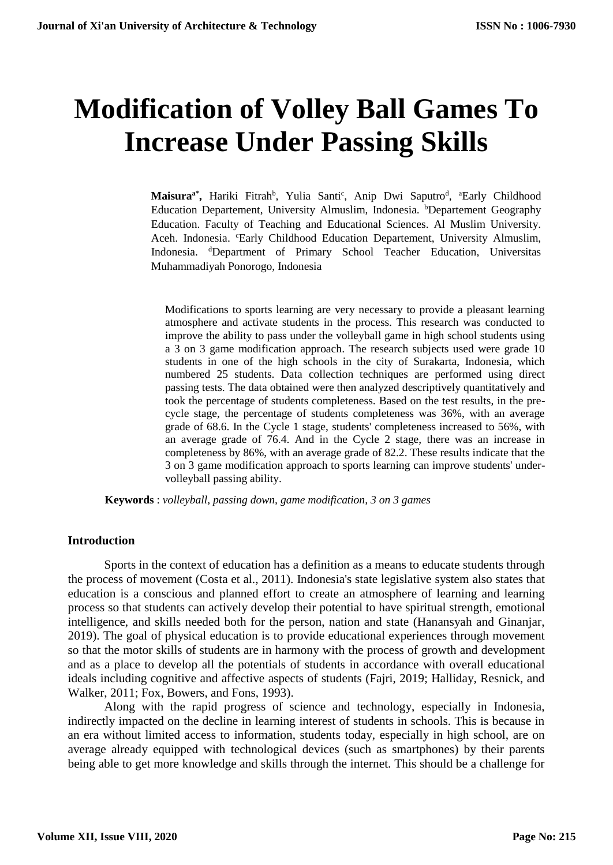# **Modification of Volley Ball Games To Increase Under Passing Skills**

Maisura<sup>a\*</sup>, Hariki Fitrah<sup>b</sup>, Yulia Santi<sup>c</sup>, Anip Dwi Saputro<sup>d</sup>, <sup>a</sup>Early Childhood Education Departement, University Almuslim, Indonesia. *bDepartement Geography* Education. Faculty of Teaching and Educational Sciences. Al Muslim University. Aceh. Indonesia. "Early Childhood Education Departement, University Almuslim, Indonesia. <sup>d</sup>Department of Primary School Teacher Education, Universitas Muhammadiyah Ponorogo, Indonesia

Modifications to sports learning are very necessary to provide a pleasant learning atmosphere and activate students in the process. This research was conducted to improve the ability to pass under the volleyball game in high school students using a 3 on 3 game modification approach. The research subjects used were grade 10 students in one of the high schools in the city of Surakarta, Indonesia, which numbered 25 students. Data collection techniques are performed using direct passing tests. The data obtained were then analyzed descriptively quantitatively and took the percentage of students completeness. Based on the test results, in the precycle stage, the percentage of students completeness was 36%, with an average grade of 68.6. In the Cycle 1 stage, students' completeness increased to 56%, with an average grade of 76.4. And in the Cycle 2 stage, there was an increase in completeness by 86%, with an average grade of 82.2. These results indicate that the 3 on 3 game modification approach to sports learning can improve students' undervolleyball passing ability.

**Keywords** : *volleyball, passing down, game modification, 3 on 3 games*

## **Introduction**

Sports in the context of education has a definition as a means to educate students through the process of movement (Costa et al., 2011). Indonesia's state legislative system also states that education is a conscious and planned effort to create an atmosphere of learning and learning process so that students can actively develop their potential to have spiritual strength, emotional intelligence, and skills needed both for the person, nation and state (Hanansyah and Ginanjar, 2019). The goal of physical education is to provide educational experiences through movement so that the motor skills of students are in harmony with the process of growth and development and as a place to develop all the potentials of students in accordance with overall educational ideals including cognitive and affective aspects of students (Fajri, 2019; Halliday, Resnick, and Walker, 2011; Fox, Bowers, and Fons, 1993).

Along with the rapid progress of science and technology, especially in Indonesia, indirectly impacted on the decline in learning interest of students in schools. This is because in an era without limited access to information, students today, especially in high school, are on average already equipped with technological devices (such as smartphones) by their parents being able to get more knowledge and skills through the internet. This should be a challenge for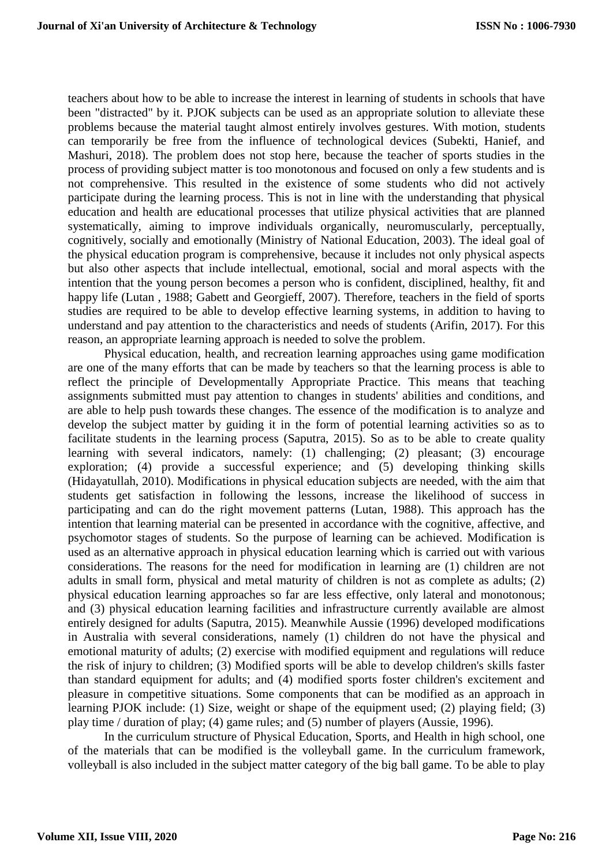teachers about how to be able to increase the interest in learning of students in schools that have been "distracted" by it. PJOK subjects can be used as an appropriate solution to alleviate these problems because the material taught almost entirely involves gestures. With motion, students can temporarily be free from the influence of technological devices (Subekti, Hanief, and Mashuri, 2018). The problem does not stop here, because the teacher of sports studies in the process of providing subject matter is too monotonous and focused on only a few students and is not comprehensive. This resulted in the existence of some students who did not actively participate during the learning process. This is not in line with the understanding that physical education and health are educational processes that utilize physical activities that are planned systematically, aiming to improve individuals organically, neuromuscularly, perceptually, cognitively, socially and emotionally (Ministry of National Education, 2003). The ideal goal of the physical education program is comprehensive, because it includes not only physical aspects but also other aspects that include intellectual, emotional, social and moral aspects with the intention that the young person becomes a person who is confident, disciplined, healthy, fit and happy life (Lutan, 1988; Gabett and Georgieff, 2007). Therefore, teachers in the field of sports studies are required to be able to develop effective learning systems, in addition to having to understand and pay attention to the characteristics and needs of students (Arifin, 2017). For this reason, an appropriate learning approach is needed to solve the problem.

Physical education, health, and recreation learning approaches using game modification are one of the many efforts that can be made by teachers so that the learning process is able to reflect the principle of Developmentally Appropriate Practice. This means that teaching assignments submitted must pay attention to changes in students' abilities and conditions, and are able to help push towards these changes. The essence of the modification is to analyze and develop the subject matter by guiding it in the form of potential learning activities so as to facilitate students in the learning process (Saputra, 2015). So as to be able to create quality learning with several indicators, namely: (1) challenging; (2) pleasant; (3) encourage exploration; (4) provide a successful experience; and (5) developing thinking skills (Hidayatullah, 2010). Modifications in physical education subjects are needed, with the aim that students get satisfaction in following the lessons, increase the likelihood of success in participating and can do the right movement patterns (Lutan, 1988). This approach has the intention that learning material can be presented in accordance with the cognitive, affective, and psychomotor stages of students. So the purpose of learning can be achieved. Modification is used as an alternative approach in physical education learning which is carried out with various considerations. The reasons for the need for modification in learning are (1) children are not adults in small form, physical and metal maturity of children is not as complete as adults; (2) physical education learning approaches so far are less effective, only lateral and monotonous; and (3) physical education learning facilities and infrastructure currently available are almost entirely designed for adults (Saputra, 2015). Meanwhile Aussie (1996) developed modifications in Australia with several considerations, namely (1) children do not have the physical and emotional maturity of adults; (2) exercise with modified equipment and regulations will reduce the risk of injury to children; (3) Modified sports will be able to develop children's skills faster than standard equipment for adults; and (4) modified sports foster children's excitement and pleasure in competitive situations. Some components that can be modified as an approach in learning PJOK include: (1) Size, weight or shape of the equipment used; (2) playing field; (3) play time / duration of play; (4) game rules; and (5) number of players (Aussie, 1996).

In the curriculum structure of Physical Education, Sports, and Health in high school, one of the materials that can be modified is the volleyball game. In the curriculum framework, volleyball is also included in the subject matter category of the big ball game. To be able to play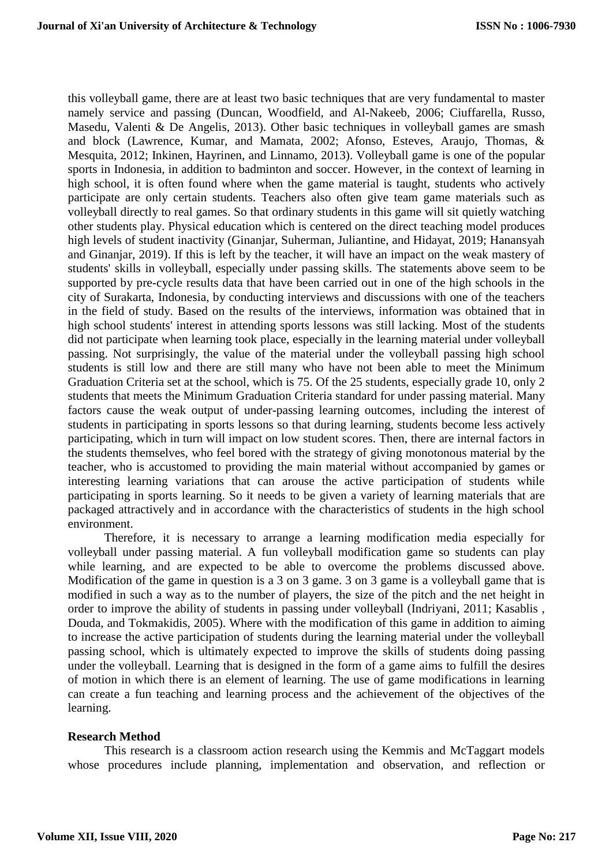this volleyball game, there are at least two basic techniques that are very fundamental to master namely service and passing (Duncan, Woodfield, and Al-Nakeeb, 2006; Ciuffarella, Russo, Masedu, Valenti & De Angelis, 2013). Other basic techniques in volleyball games are smash and block (Lawrence, Kumar, and Mamata, 2002; Afonso, Esteves, Araujo, Thomas, & Mesquita, 2012; Inkinen, Hayrinen, and Linnamo, 2013). Volleyball game is one of the popular sports in Indonesia, in addition to badminton and soccer. However, in the context of learning in high school, it is often found where when the game material is taught, students who actively participate are only certain students. Teachers also often give team game materials such as volleyball directly to real games. So that ordinary students in this game will sit quietly watching other students play. Physical education which is centered on the direct teaching model produces high levels of student inactivity (Ginanjar, Suherman, Juliantine, and Hidayat, 2019; Hanansyah and Ginanjar, 2019). If this is left by the teacher, it will have an impact on the weak mastery of students' skills in volleyball, especially under passing skills. The statements above seem to be supported by pre-cycle results data that have been carried out in one of the high schools in the city of Surakarta, Indonesia, by conducting interviews and discussions with one of the teachers in the field of study. Based on the results of the interviews, information was obtained that in high school students' interest in attending sports lessons was still lacking. Most of the students did not participate when learning took place, especially in the learning material under volleyball passing. Not surprisingly, the value of the material under the volleyball passing high school students is still low and there are still many who have not been able to meet the Minimum Graduation Criteria set at the school, which is 75. Of the 25 students, especially grade 10, only 2 students that meets the Minimum Graduation Criteria standard for under passing material. Many factors cause the weak output of under-passing learning outcomes, including the interest of students in participating in sports lessons so that during learning, students become less actively participating, which in turn will impact on low student scores. Then, there are internal factors in the students themselves, who feel bored with the strategy of giving monotonous material by the teacher, who is accustomed to providing the main material without accompanied by games or interesting learning variations that can arouse the active participation of students while participating in sports learning. So it needs to be given a variety of learning materials that are packaged attractively and in accordance with the characteristics of students in the high school environment.

Therefore, it is necessary to arrange a learning modification media especially for volleyball under passing material. A fun volleyball modification game so students can play while learning, and are expected to be able to overcome the problems discussed above. Modification of the game in question is a 3 on 3 game. 3 on 3 game is a volleyball game that is modified in such a way as to the number of players, the size of the pitch and the net height in order to improve the ability of students in passing under volleyball (Indriyani, 2011; Kasablis , Douda, and Tokmakidis, 2005). Where with the modification of this game in addition to aiming to increase the active participation of students during the learning material under the volleyball passing school, which is ultimately expected to improve the skills of students doing passing under the volleyball. Learning that is designed in the form of a game aims to fulfill the desires of motion in which there is an element of learning. The use of game modifications in learning can create a fun teaching and learning process and the achievement of the objectives of the learning.

#### **Research Method**

This research is a classroom action research using the Kemmis and McTaggart models whose procedures include planning, implementation and observation, and reflection or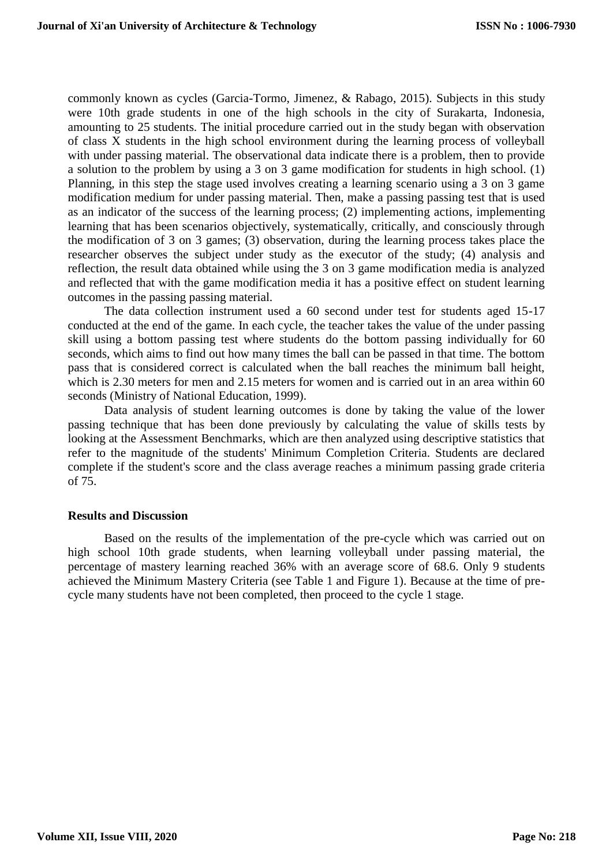commonly known as cycles (Garcia-Tormo, Jimenez, & Rabago, 2015). Subjects in this study were 10th grade students in one of the high schools in the city of Surakarta, Indonesia, amounting to 25 students. The initial procedure carried out in the study began with observation of class X students in the high school environment during the learning process of volleyball with under passing material. The observational data indicate there is a problem, then to provide a solution to the problem by using a 3 on 3 game modification for students in high school. (1) Planning, in this step the stage used involves creating a learning scenario using a 3 on 3 game modification medium for under passing material. Then, make a passing passing test that is used as an indicator of the success of the learning process; (2) implementing actions, implementing learning that has been scenarios objectively, systematically, critically, and consciously through the modification of 3 on 3 games; (3) observation, during the learning process takes place the researcher observes the subject under study as the executor of the study; (4) analysis and reflection, the result data obtained while using the 3 on 3 game modification media is analyzed and reflected that with the game modification media it has a positive effect on student learning outcomes in the passing passing material.

The data collection instrument used a 60 second under test for students aged 15-17 conducted at the end of the game. In each cycle, the teacher takes the value of the under passing skill using a bottom passing test where students do the bottom passing individually for 60 seconds, which aims to find out how many times the ball can be passed in that time. The bottom pass that is considered correct is calculated when the ball reaches the minimum ball height, which is 2.30 meters for men and 2.15 meters for women and is carried out in an area within 60 seconds (Ministry of National Education, 1999).

Data analysis of student learning outcomes is done by taking the value of the lower passing technique that has been done previously by calculating the value of skills tests by looking at the Assessment Benchmarks, which are then analyzed using descriptive statistics that refer to the magnitude of the students' Minimum Completion Criteria. Students are declared complete if the student's score and the class average reaches a minimum passing grade criteria of 75.

#### **Results and Discussion**

Based on the results of the implementation of the pre-cycle which was carried out on high school 10th grade students, when learning volleyball under passing material, the percentage of mastery learning reached 36% with an average score of 68.6. Only 9 students achieved the Minimum Mastery Criteria (see Table 1 and Figure 1). Because at the time of precycle many students have not been completed, then proceed to the cycle 1 stage.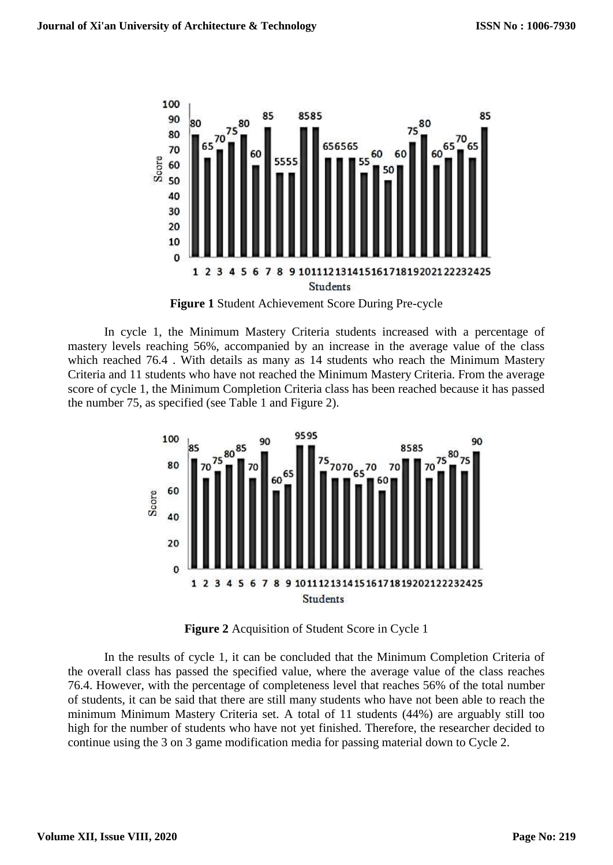

**Figure 1** Student Achievement Score During Pre-cycle

In cycle 1, the Minimum Mastery Criteria students increased with a percentage of mastery levels reaching 56%, accompanied by an increase in the average value of the class which reached 76.4 . With details as many as 14 students who reach the Minimum Mastery Criteria and 11 students who have not reached the Minimum Mastery Criteria. From the average score of cycle 1, the Minimum Completion Criteria class has been reached because it has passed the number 75, as specified (see Table 1 and Figure 2).



**Figure 2** Acquisition of Student Score in Cycle 1

In the results of cycle 1, it can be concluded that the Minimum Completion Criteria of the overall class has passed the specified value, where the average value of the class reaches 76.4. However, with the percentage of completeness level that reaches 56% of the total number of students, it can be said that there are still many students who have not been able to reach the minimum Minimum Mastery Criteria set. A total of 11 students (44%) are arguably still too high for the number of students who have not yet finished. Therefore, the researcher decided to continue using the 3 on 3 game modification media for passing material down to Cycle 2.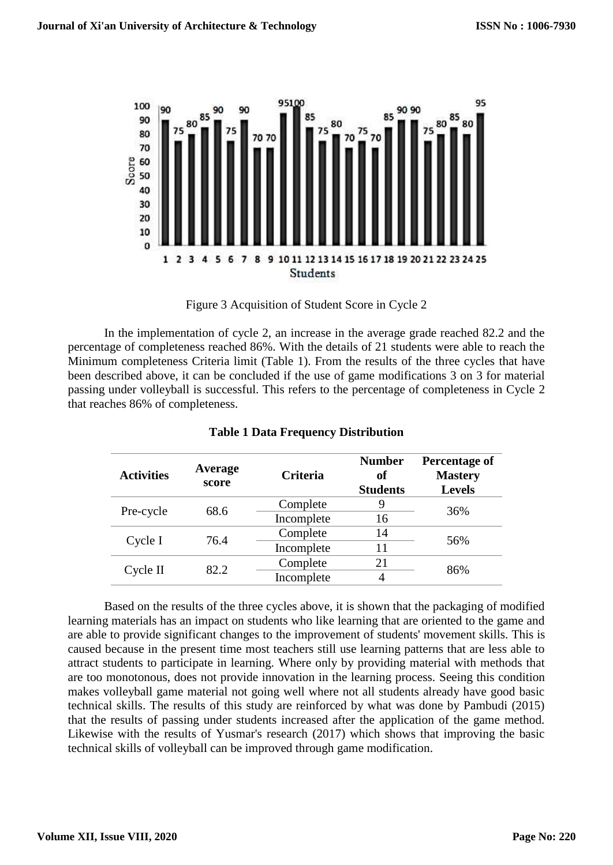

Figure 3 Acquisition of Student Score in Cycle 2

In the implementation of cycle 2, an increase in the average grade reached 82.2 and the percentage of completeness reached 86%. With the details of 21 students were able to reach the Minimum completeness Criteria limit (Table 1). From the results of the three cycles that have been described above, it can be concluded if the use of game modifications 3 on 3 for material passing under volleyball is successful. This refers to the percentage of completeness in Cycle 2 that reaches 86% of completeness.

| <b>Activities</b> | Average<br>score | <b>Criteria</b> | <b>Number</b><br>of<br><b>Students</b> | <b>Percentage of</b><br><b>Mastery</b><br><b>Levels</b> |
|-------------------|------------------|-----------------|----------------------------------------|---------------------------------------------------------|
| Pre-cycle         | 68.6             | Complete        |                                        | 36%                                                     |
|                   |                  | Incomplete      | 16                                     |                                                         |
| Cycle I           | 76.4             | Complete        | 14                                     | 56%                                                     |
|                   |                  | Incomplete      | 11                                     |                                                         |
| Cycle II          | 82.2             | Complete        | 21                                     | 86%                                                     |
|                   |                  | Incomplete      |                                        |                                                         |

**Table 1 Data Frequency Distribution**

Based on the results of the three cycles above, it is shown that the packaging of modified learning materials has an impact on students who like learning that are oriented to the game and are able to provide significant changes to the improvement of students' movement skills. This is caused because in the present time most teachers still use learning patterns that are less able to attract students to participate in learning. Where only by providing material with methods that are too monotonous, does not provide innovation in the learning process. Seeing this condition makes volleyball game material not going well where not all students already have good basic technical skills. The results of this study are reinforced by what was done by Pambudi (2015) that the results of passing under students increased after the application of the game method. Likewise with the results of Yusmar's research (2017) which shows that improving the basic technical skills of volleyball can be improved through game modification.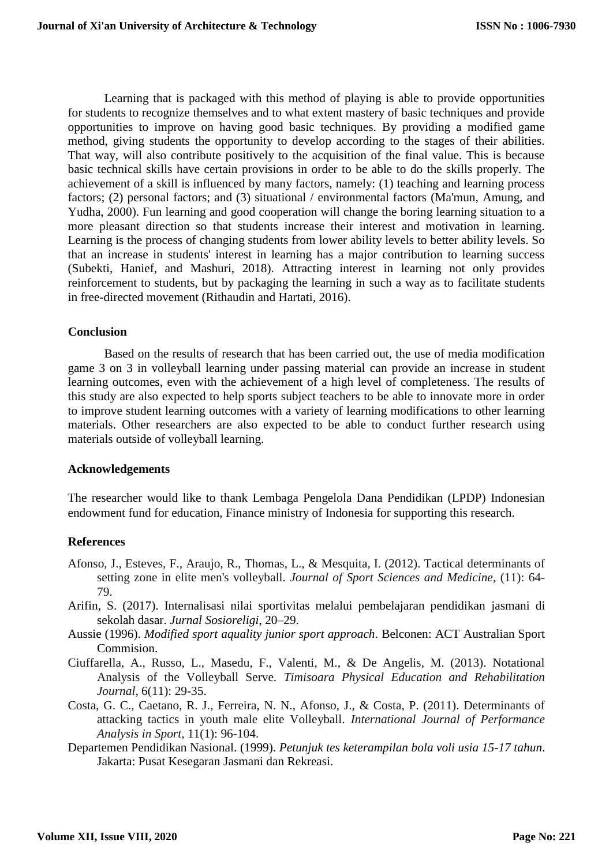Learning that is packaged with this method of playing is able to provide opportunities for students to recognize themselves and to what extent mastery of basic techniques and provide opportunities to improve on having good basic techniques. By providing a modified game method, giving students the opportunity to develop according to the stages of their abilities. That way, will also contribute positively to the acquisition of the final value. This is because basic technical skills have certain provisions in order to be able to do the skills properly. The achievement of a skill is influenced by many factors, namely: (1) teaching and learning process factors; (2) personal factors; and (3) situational / environmental factors (Ma'mun, Amung, and Yudha, 2000). Fun learning and good cooperation will change the boring learning situation to a more pleasant direction so that students increase their interest and motivation in learning. Learning is the process of changing students from lower ability levels to better ability levels. So that an increase in students' interest in learning has a major contribution to learning success (Subekti, Hanief, and Mashuri, 2018). Attracting interest in learning not only provides reinforcement to students, but by packaging the learning in such a way as to facilitate students in free-directed movement (Rithaudin and Hartati, 2016).

### **Conclusion**

Based on the results of research that has been carried out, the use of media modification game 3 on 3 in volleyball learning under passing material can provide an increase in student learning outcomes, even with the achievement of a high level of completeness. The results of this study are also expected to help sports subject teachers to be able to innovate more in order to improve student learning outcomes with a variety of learning modifications to other learning materials. Other researchers are also expected to be able to conduct further research using materials outside of volleyball learning.

## **Acknowledgements**

The researcher would like to thank Lembaga Pengelola Dana Pendidikan (LPDP) Indonesian endowment fund for education, Finance ministry of Indonesia for supporting this research.

## **References**

- Afonso, J., Esteves, F., Araujo, R., Thomas, L., & Mesquita, I. (2012). Tactical determinants of setting zone in elite men's volleyball. *Journal of Sport Sciences and Medicine*, (11): 64- 79.
- Arifin, S. (2017). Internalisasi nilai sportivitas melalui pembelajaran pendidikan jasmani di sekolah dasar. *Jurnal Sosioreligi*, 20–29.
- Aussie (1996). *Modified sport aquality junior sport approach*. Belconen: ACT Australian Sport Commision.
- Ciuffarella, A., Russo, L., Masedu, F., Valenti, M., & De Angelis, M. (2013). Notational Analysis of the Volleyball Serve. *Timisoara Physical Education and Rehabilitation Journal*, 6(11): 29-35.
- Costa, G. C., Caetano, R. J., Ferreira, N. N., Afonso, J., & Costa, P. (2011). Determinants of attacking tactics in youth male elite Volleyball. *International Journal of Performance Analysis in Sport*, 11(1): 96-104.
- Departemen Pendidikan Nasional. (1999). *Petunjuk tes keterampilan bola voli usia 15-17 tahun*. Jakarta: Pusat Kesegaran Jasmani dan Rekreasi.